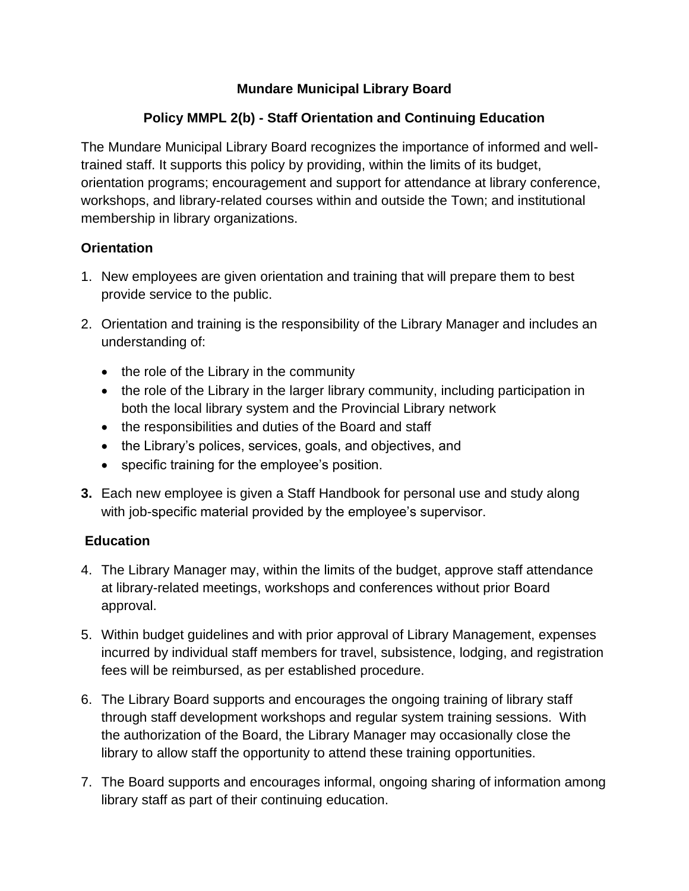## **Mundare Municipal Library Board**

# **Policy MMPL 2(b) - Staff Orientation and Continuing Education**

The Mundare Municipal Library Board recognizes the importance of informed and welltrained staff. It supports this policy by providing, within the limits of its budget, orientation programs; encouragement and support for attendance at library conference, workshops, and library-related courses within and outside the Town; and institutional membership in library organizations.

## **Orientation**

- 1. New employees are given orientation and training that will prepare them to best provide service to the public.
- 2. Orientation and training is the responsibility of the Library Manager and includes an understanding of:
	- the role of the Library in the community
	- the role of the Library in the larger library community, including participation in both the local library system and the Provincial Library network
	- the responsibilities and duties of the Board and staff
	- the Library's polices, services, goals, and objectives, and
	- specific training for the employee's position.
- **3.** Each new employee is given a Staff Handbook for personal use and study along with job-specific material provided by the employee's supervisor.

## **Education**

- 4. The Library Manager may, within the limits of the budget, approve staff attendance at library-related meetings, workshops and conferences without prior Board approval.
- 5. Within budget guidelines and with prior approval of Library Management, expenses incurred by individual staff members for travel, subsistence, lodging, and registration fees will be reimbursed, as per established procedure.
- 6. The Library Board supports and encourages the ongoing training of library staff through staff development workshops and regular system training sessions. With the authorization of the Board, the Library Manager may occasionally close the library to allow staff the opportunity to attend these training opportunities.
- 7. The Board supports and encourages informal, ongoing sharing of information among library staff as part of their continuing education.